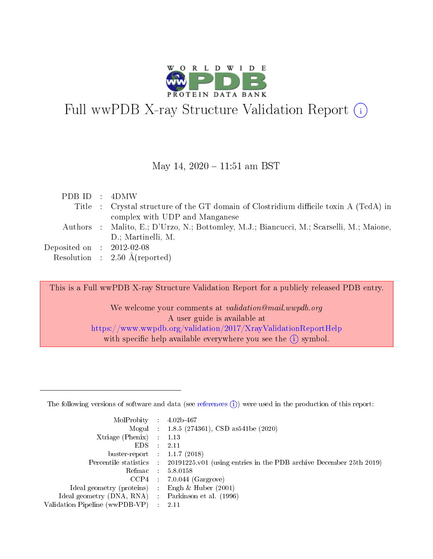

# Full wwPDB X-ray Structure Validation Report  $(i)$

#### May 14,  $2020 - 11:51$  am BST

| PDBID : 4DMW                |                                                                                          |
|-----------------------------|------------------------------------------------------------------------------------------|
|                             | Title : Crystal structure of the GT domain of Clostridium difficile toxin A (TcdA) in    |
|                             | complex with UDP and Manganese                                                           |
|                             | Authors : Malito, E.; D'Urzo, N.; Bottomley, M.J.; Biancucci, M.; Scarselli, M.; Maione, |
|                             | D.; Martinelli, M.                                                                       |
| Deposited on : $2012-02-08$ |                                                                                          |
|                             | Resolution : $2.50 \text{ Å}$ (reported)                                                 |

This is a Full wwPDB X-ray Structure Validation Report for a publicly released PDB entry.

We welcome your comments at validation@mail.wwpdb.org A user guide is available at <https://www.wwpdb.org/validation/2017/XrayValidationReportHelp> with specific help available everywhere you see the  $(i)$  symbol.

The following versions of software and data (see [references](https://www.wwpdb.org/validation/2017/XrayValidationReportHelp#references)  $(1)$ ) were used in the production of this report:

| MolProbity :                   |               | $4.02b - 467$                                                               |
|--------------------------------|---------------|-----------------------------------------------------------------------------|
|                                |               | Mogul : $1.8.5$ (274361), CSD as 541be (2020)                               |
| Xtriage (Phenix)               | $\mathcal{L}$ | 1.13                                                                        |
| EDS.                           |               | 2.11                                                                        |
| buster-report : $1.1.7$ (2018) |               |                                                                             |
| Percentile statistics :        |               | $20191225 \text{v}01$ (using entries in the PDB archive December 25th 2019) |
| Refmac :                       |               | 5.8.0158                                                                    |
| CCP4                           |               | $7.0.044$ (Gargrove)                                                        |
| Ideal geometry (proteins) :    |               | Engh $\&$ Huber (2001)                                                      |
| Ideal geometry (DNA, RNA) :    |               | Parkinson et al. (1996)                                                     |
| Validation Pipeline (wwPDB-VP) | $\mathcal{L}$ | 2.11                                                                        |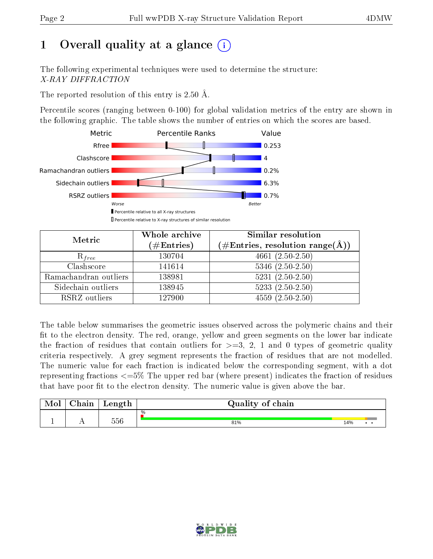## 1 [O](https://www.wwpdb.org/validation/2017/XrayValidationReportHelp#overall_quality)verall quality at a glance  $(i)$

The following experimental techniques were used to determine the structure: X-RAY DIFFRACTION

The reported resolution of this entry is 2.50 Å.

Percentile scores (ranging between 0-100) for global validation metrics of the entry are shown in the following graphic. The table shows the number of entries on which the scores are based.



| Metric                | Whole archive<br>$(\#\mathrm{Entries})$ | Similar resolution<br>$(\#\text{Entries},\,\text{resolution}\,\,\text{range}(\textup{\AA}))$ |  |  |
|-----------------------|-----------------------------------------|----------------------------------------------------------------------------------------------|--|--|
| $R_{free}$            | 130704                                  | $4661 (2.50 - 2.50)$                                                                         |  |  |
| Clashscore            | 141614                                  | $5346$ $(2.50-2.50)$                                                                         |  |  |
| Ramachandran outliers | 138981                                  | $5231 (2.50 - 2.50)$                                                                         |  |  |
| Sidechain outliers    | 138945                                  | $5233(2.50-2.50)$                                                                            |  |  |
| RSRZ outliers         | 127900                                  | $4559(2.50-2.50)$                                                                            |  |  |

The table below summarises the geometric issues observed across the polymeric chains and their fit to the electron density. The red, orange, yellow and green segments on the lower bar indicate the fraction of residues that contain outliers for  $>=3, 2, 1$  and 0 types of geometric quality criteria respectively. A grey segment represents the fraction of residues that are not modelled. The numeric value for each fraction is indicated below the corresponding segment, with a dot representing fractions  $\epsilon=5\%$  The upper red bar (where present) indicates the fraction of residues that have poor fit to the electron density. The numeric value is given above the bar.

| Mol | $\cap$ hain | Length | Quality of chain |     |  |  |  |  |
|-----|-------------|--------|------------------|-----|--|--|--|--|
|     |             |        | %                |     |  |  |  |  |
|     |             | 556    | 81%              | 14% |  |  |  |  |

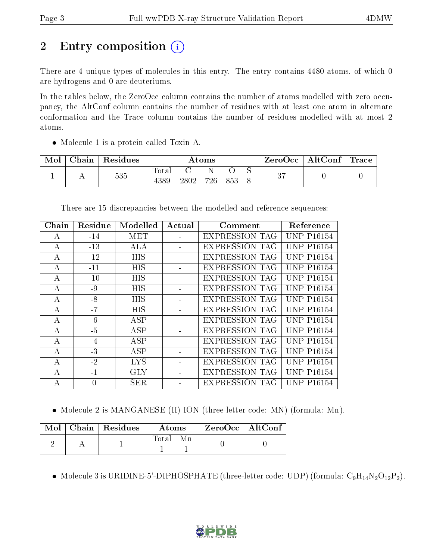# 2 Entry composition (i)

There are 4 unique types of molecules in this entry. The entry contains 4480 atoms, of which 0 are hydrogens and 0 are deuteriums.

In the tables below, the ZeroOcc column contains the number of atoms modelled with zero occupancy, the AltConf column contains the number of residues with at least one atom in alternate conformation and the Trace column contains the number of residues modelled with at most 2 atoms.

• Molecule 1 is a protein called Toxin A.

| Mol | Chain | <sup>'</sup> Residues | Atoms |      |     |     |  | ⊦ ZeroOcc∣ | $\mid$ AltConf $\mid$ Trace $\mid$ |  |
|-----|-------|-----------------------|-------|------|-----|-----|--|------------|------------------------------------|--|
|     |       | 535                   | Totar |      |     |     |  | $\Omega$   |                                    |  |
|     |       |                       | 4389  | 2802 | 726 | 853 |  |            |                                    |  |

There are 15 discrepancies between the modelled and reference sequences:

| Chain          | Residue  | Modelled   | Actual | Comment               | Reference                  |
|----------------|----------|------------|--------|-----------------------|----------------------------|
| А              | $-14$    | MET        |        | <b>EXPRESSION TAG</b> | <b>UNP P16154</b>          |
| А              | $-13$    | ALA        |        | EXPRESSION TAG        | <b>UNP P16154</b>          |
| А              | $-12$    | HIS        |        | EXPRESSION TAG        | <b>UNP P16154</b>          |
| A              | $-11$    | <b>HIS</b> |        | <b>EXPRESSION TAG</b> | <b>UNP P16154</b>          |
| А              | $-10$    | HIS        |        | <b>EXPRESSION TAG</b> | <b>UNP P16154</b>          |
| $\bf{A}$       | $-9$     | <b>HIS</b> |        | <b>EXPRESSION TAG</b> | <b>UNP P16154</b>          |
| $\overline{A}$ | $-8$     | HIS        |        | <b>EXPRESSION TAG</b> | <b>UNP P16154</b>          |
| А              | $-7$     | <b>HIS</b> |        | <b>EXPRESSION TAG</b> | <b>UNP P16154</b>          |
| А              | $-6$     | <b>ASP</b> |        | <b>EXPRESSION TAG</b> | <b>UNP P16154</b>          |
| $\overline{A}$ | $-5$     | <b>ASP</b> |        | EXPRESSION TAG        | <b>UNP P16154</b>          |
| $\mathsf{A}$   | $-4$     | ASP        |        | <b>EXPRESSION TAG</b> | <b>UNP P16154</b>          |
| А              | $-3$     | ASP        |        | <b>EXPRESSION TAG</b> | <b>UNP P16154</b>          |
| $\bf{A}$       | $-2$     | LYS.       |        | <b>EXPRESSION TAG</b> | <b>UNP P16154</b>          |
| A              | $-1$     | GLY        |        | <b>EXPRESSION TAG</b> | UNP P16154                 |
| А              | $\theta$ | <b>SER</b> |        | <b>EXPRESSION TAG</b> | UNP.<br>P <sub>16154</sub> |

• Molecule 2 is MANGANESE (II) ION (three-letter code: MN) (formula: Mn).

|  | $\text{Mol}$   Chain   Residues | Atoms | ZeroOcc   AltConf |  |
|--|---------------------------------|-------|-------------------|--|
|  |                                 | Total |                   |  |

• Molecule 3 is URIDINE-5'-DIPHOSPHATE (three-letter code: UDP) (formula:  $C_9H_{14}N_2O_{12}P_2$ ).

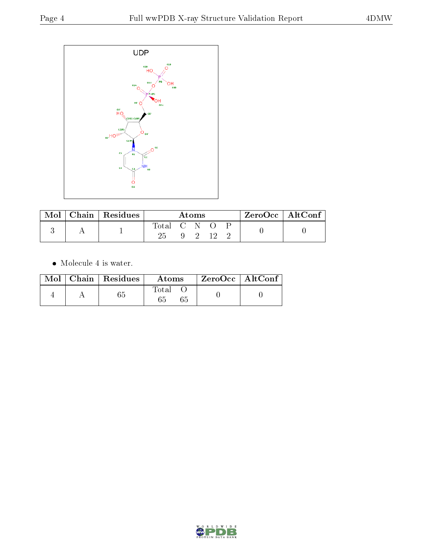

| Mol | Chain   Residues | Atoms         |  |         |      |  | ZeroOcc   AltConf |  |
|-----|------------------|---------------|--|---------|------|--|-------------------|--|
|     |                  | Total C N O P |  | - 9 - 1 | - 19 |  |                   |  |

 $\bullet\,$  Molecule 4 is water.

|  | $\text{Mol}$   Chain   Residues | Atoms       | $^\shortparallel$ ZeroOcc $\mid$ AltConf $\mid$ |  |
|--|---------------------------------|-------------|-------------------------------------------------|--|
|  |                                 | Total<br>65 |                                                 |  |

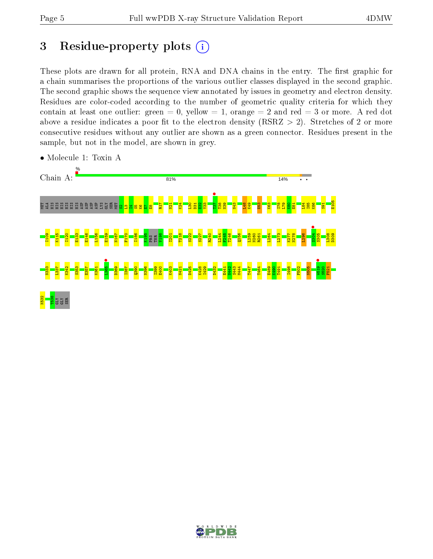## 3 Residue-property plots  $(i)$

These plots are drawn for all protein, RNA and DNA chains in the entry. The first graphic for a chain summarises the proportions of the various outlier classes displayed in the second graphic. The second graphic shows the sequence view annotated by issues in geometry and electron density. Residues are color-coded according to the number of geometric quality criteria for which they contain at least one outlier: green  $= 0$ , yellow  $= 1$ , orange  $= 2$  and red  $= 3$  or more. A red dot above a residue indicates a poor fit to the electron density (RSRZ  $> 2$ ). Stretches of 2 or more consecutive residues without any outlier are shown as a green connector. Residues present in the sample, but not in the model, are shown in grey.



• Molecule 1: Toxin A

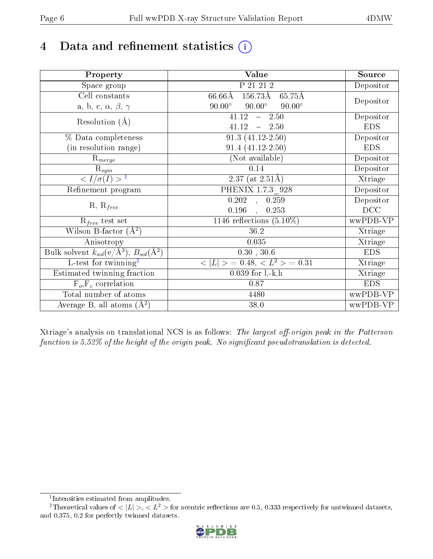## 4 Data and refinement statistics  $(i)$

| Property                                                             | Value                                                    | Source     |
|----------------------------------------------------------------------|----------------------------------------------------------|------------|
| Space group                                                          | P 21 21 2                                                | Depositor  |
| Cell constants                                                       | $66.66\rm\AA$<br>$156.73\text{\AA}$<br>$65.75\text{\AA}$ |            |
| a, b, c, $\alpha$ , $\beta$ , $\gamma$                               | $90.00^\circ$<br>$90.00^\circ$<br>$90.00^\circ$          | Depositor  |
| Resolution $(A)$                                                     | 41.12<br>$-2.50$                                         | Depositor  |
|                                                                      | 41.12<br>$-2.50$                                         | <b>EDS</b> |
| % Data completeness                                                  | $91.3(41.12-2.50)$                                       | Depositor  |
| (in resolution range)                                                | $91.4(41.12-2.50)$                                       | <b>EDS</b> |
| $\mathrm{R}_{merge}$                                                 | (Not available)                                          | Depositor  |
| $\mathrm{R}_{sym}$                                                   | 0.14                                                     | Depositor  |
| $\overline{1$                                                        | $2.37$ (at $2.51\text{\AA}$ )                            | Xtriage    |
| Refinement program                                                   | PHENIX 1.7.3 928                                         | Depositor  |
|                                                                      | $\overline{0.202}$ ,<br>0.259                            | Depositor  |
| $R, R_{free}$                                                        | 0.196<br>0.253<br>$\ddot{\phantom{a}}$                   | DCC        |
| $R_{free}$ test set                                                  | 1146 reflections $(5.10\%)$                              | wwPDB-VP   |
| Wilson B-factor $(A^2)$                                              | 36.2                                                     | Xtriage    |
| Anisotropy                                                           | 0.035                                                    | Xtriage    |
| Bulk solvent $k_{sol}(e/\mathring{A}^3)$ , $B_{sol}(\mathring{A}^2)$ | $0.30$ , $30.6$                                          | <b>EDS</b> |
| $\overline{L-test for}$ twinning <sup>2</sup>                        | $< L >$ = 0.48, $< L2 >$ = 0.31                          | Xtriage    |
| Estimated twinning fraction                                          | $0.039$ for $1, -k, h$                                   | Xtriage    |
| $F_o, F_c$ correlation                                               | 0.87                                                     | <b>EDS</b> |
| Total number of atoms                                                | 4480                                                     | wwPDB-VP   |
| Average B, all atoms $(A^2)$                                         | 38.0                                                     | wwPDB-VP   |

Xtriage's analysis on translational NCS is as follows: The largest off-origin peak in the Patterson function is  $5.52\%$  of the height of the origin peak. No significant pseudotranslation is detected.

<sup>&</sup>lt;sup>2</sup>Theoretical values of  $\langle |L| \rangle$ ,  $\langle L^2 \rangle$  for acentric reflections are 0.5, 0.333 respectively for untwinned datasets, and 0.375, 0.2 for perfectly twinned datasets.



<span id="page-5-1"></span><span id="page-5-0"></span><sup>1</sup> Intensities estimated from amplitudes.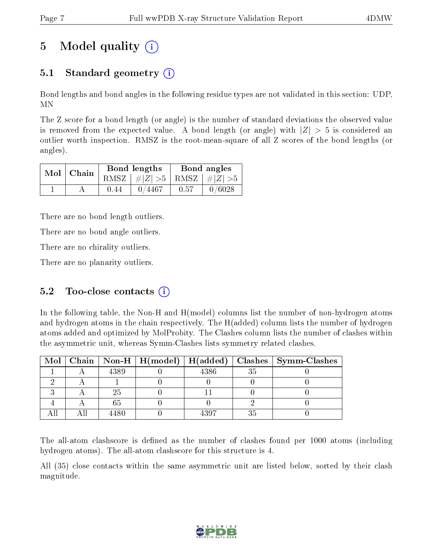## 5 Model quality  $(i)$

### 5.1 Standard geometry  $\overline{()}$

Bond lengths and bond angles in the following residue types are not validated in this section: UDP, MN

The Z score for a bond length (or angle) is the number of standard deviations the observed value is removed from the expected value. A bond length (or angle) with  $|Z| > 5$  is considered an outlier worth inspection. RMSZ is the root-mean-square of all Z scores of the bond lengths (or angles).

|  | $Mol$   Chain |      | Bond lengths                    | Bond angles |        |  |
|--|---------------|------|---------------------------------|-------------|--------|--|
|  |               |      | RMSZ $ #Z  > 5$ RMSZ $ #Z  > 5$ |             |        |  |
|  |               | 0.44 | 0/4467                          | 0.57        | 0/6028 |  |

There are no bond length outliers.

There are no bond angle outliers.

There are no chirality outliers.

There are no planarity outliers.

#### 5.2 Too-close contacts  $(i)$

In the following table, the Non-H and H(model) columns list the number of non-hydrogen atoms and hydrogen atoms in the chain respectively. The H(added) column lists the number of hydrogen atoms added and optimized by MolProbity. The Clashes column lists the number of clashes within the asymmetric unit, whereas Symm-Clashes lists symmetry related clashes.

|  |      |      |    | Mol   Chain   Non-H   H(model)   H(added)   Clashes   Symm-Clashes |
|--|------|------|----|--------------------------------------------------------------------|
|  | 4389 | 4386 | 35 |                                                                    |
|  |      |      |    |                                                                    |
|  | 25   |      |    |                                                                    |
|  |      |      |    |                                                                    |
|  | 1480 | 1307 |    |                                                                    |

The all-atom clashscore is defined as the number of clashes found per 1000 atoms (including hydrogen atoms). The all-atom clashscore for this structure is 4.

All (35) close contacts within the same asymmetric unit are listed below, sorted by their clash magnitude.

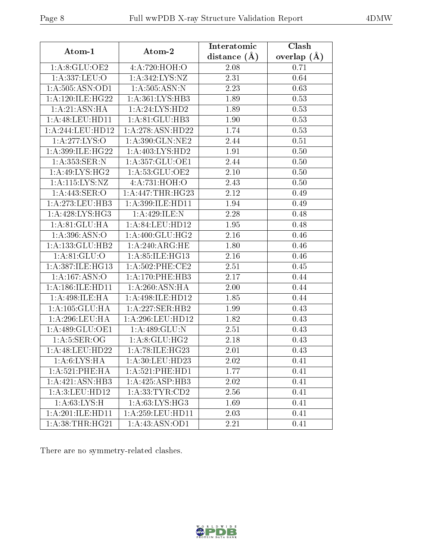|--|

| Atom-1               | Atom-2              | Interatomic      | Clash         |
|----------------------|---------------------|------------------|---------------|
|                      |                     | distance $(\AA)$ | overlap $(A)$ |
| 1: A:8: GLU:OE2      | 4:A:720:HOH:O       | 2.08             | 0.71          |
| 1:A:337:LEU:O        | 1:A:342:LYS:NZ      | 2.31             | 0.64          |
| 1: A: 505: ASN: OD1  | 1: A: 505: ASN: N   | 2.23             | 0.63          |
| 1: A:120: ILE:HG22   | 1:A:361:LYS:HB3     | 1.89             | 0.53          |
| 1: A:21: ASN: HA     | 1: A:24: LYS:HD2    | 1.89             | 0.53          |
| 1: A:48: LEU: HD11   | 1:A:81:GLU:HB3      | 1.90             | 0.53          |
| 1:A:244:LEU:HD12     | 1:A:278:ASN:HD22    | 1.74             | 0.53          |
| 1: A:277: LYS:O      | 1:A:390:GLN:NE2     | 2.44             | 0.51          |
| 1: A:399: ILE: HG22  | 1:A:403:LYS:HD2     | 1.91             | 0.50          |
| 1:A:353:SER:N        | 1:A:357:GLU:OE1     | 2.44             | 0.50          |
| 1: A:49: LYS: HG2    | 1:A:53:GLU:OE2      | 2.10             | 0.50          |
| 1: A: 115: LYS: NZ   | 4:A:731:HOH:O       | 2.43             | 0.50          |
| 1: A:443: SER:O      | 1:A:447:THR:HG23    | 2.12             | 0.49          |
| 1: A:273:LEU:HB3     | 1:A:399:ILE:HD11    | 1.94             | 0.49          |
| 1: A:428: LYS: HG3   | 1:A:429:ILE:N       | 2.28             | 0.48          |
| 1:A:81:GLU:HA        | 1:A:84:LEU:HD12     | 1.95             | 0.48          |
| 1:A:396:ASN:O        | 1: A:400: GLU:HG2   | 2.16             | 0.46          |
| 1:A:133:GLU:HB2      | 1: A:240:ARG:HE     | 1.80             | 0.46          |
| 1: A:81: GLU:O       | 1:A:85:ILE:HG13     | 2.16             | 0.46          |
| 1:A:387:ILE:HG13     | $1: A:502:$ PHE:CE2 | 2.51             | 0.45          |
| 1:A:167:ASN:O        | $1:$ A:170:PHE:HB3  | 2.17             | 0.44          |
| 1: A: 186: ILE: HD11 | 1: A:260: ASN: HA   | 2.00             | 0.44          |
| 1:A:498:ILE:HA       | 1:A:498:ILE:HD12    | 1.85             | 0.44          |
| 1: A: 105: GLU: HA   | 1:A:227:SER:HB2     | 1.99             | 0.43          |
| 1:A:296:LEU:HA       | 1:A:296:LEU:HD12    | 1.82             | 0.43          |
| 1:A:489:GLU:OE1      | 1:A:489:GLU:N       | 2.51             | 0.43          |
| 1: A:5: SER:OG       | 1: A:8: GLU: HG2    | 2.18             | 0.43          |
| 1: A:48:LEU:HD22     | 1: A:78: ILE: HG23  | 2.01             | 0.43          |
| 1: A:6: LYS: HA      | 1:A:30:LEU:HD23     | 2.02             | 0.41          |
| 1:A:521:PHE:HA       | 1: A:521: PHE: HD1  | 1.77             | 0.41          |
| 1: A:421: ASN:HB3    | 1:A:425:ASP:HB3     | 2.02             | 0.41          |
| 1:A:3:LEU:HDI2       | 1: A: 33: TYR: CD2  | 2.56             | 0.41          |
| 1: A:63: LYS:H       | 1: A:63:LYS:HG3     | 1.69             | 0.41          |
| 1:A:201:ILE:HD11     | 1:A:259:LEU:HD11    | 2.03             | 0.41          |
| 1: A:38:THR:HG21     | 1:A:43:ASN:OD1      | 2.21             | 0.41          |

There are no symmetry-related clashes.

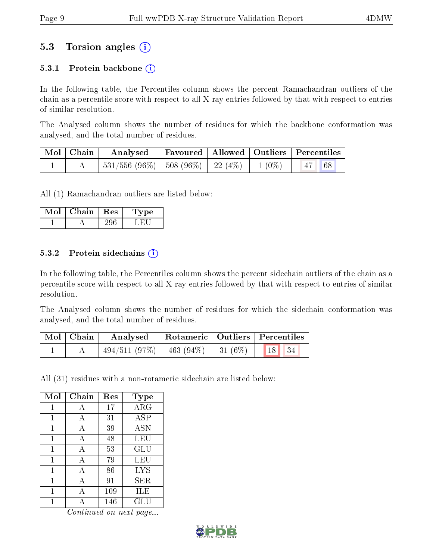### 5.3 Torsion angles (i)

#### 5.3.1 Protein backbone  $(i)$

In the following table, the Percentiles column shows the percent Ramachandran outliers of the chain as a percentile score with respect to all X-ray entries followed by that with respect to entries of similar resolution.

The Analysed column shows the number of residues for which the backbone conformation was analysed, and the total number of residues.

| Mol   Chain | $\boldsymbol{\mathrm{Analysed}}$             |  | Favoured   Allowed   Outliers   Percentiles |  |
|-------------|----------------------------------------------|--|---------------------------------------------|--|
|             | 531/556 (96%)   508 (96%)   22 (4%)   1 (0%) |  | 47 68                                       |  |

All (1) Ramachandran outliers are listed below:

| Mol | Chain | $\parallel$ Res | vpe<br>L. |
|-----|-------|-----------------|-----------|
|     |       |                 |           |

#### 5.3.2 Protein sidechains  $\left( \widehat{\mathbf{i}} \right)$

In the following table, the Percentiles column shows the percent sidechain outliers of the chain as a percentile score with respect to all X-ray entries followed by that with respect to entries of similar resolution.

The Analysed column shows the number of residues for which the sidechain conformation was analysed, and the total number of residues.

| Mol   Chain | Analysed                                           | Rotameric   Outliers   Percentiles |  |  |  |
|-------------|----------------------------------------------------|------------------------------------|--|--|--|
|             | $\mid$ 494/511 (97%)   463 (94%)   31 (6%)   18 34 |                                    |  |  |  |

All (31) residues with a non-rotameric sidechain are listed below:

| Mol | Chain | Res | Type       |
|-----|-------|-----|------------|
| 1   | А     | 17  | $\rm{ARG}$ |
| 1   | А     | 31  | ASP        |
| 1   | A     | 39  | <b>ASN</b> |
| 1   | А     | 48  | LEU        |
| 1   | A     | 53  | GLU        |
| 1   | A     | 79  | LEU        |
| 1   | A     | 86  | <b>LYS</b> |
| 1   | A     | 91  | SER.       |
| 1   | А     | 109 | ILE        |
|     |       | 146 | GLU        |

Continued on next page...

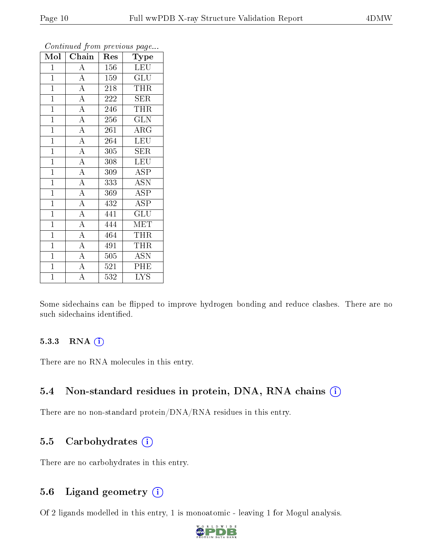| $\operatorname{Mol} \mid$ | Chain              | Res | Type                    |
|---------------------------|--------------------|-----|-------------------------|
| $\mathbf{1}$              | $\boldsymbol{A}$   | 156 | <b>LEU</b>              |
| $\overline{1}$            | $\overline{A}$     | 159 | <b>GLU</b>              |
| $\mathbf{1}$              | $\overline{A}$     | 218 | THR                     |
| $\overline{1}$            | $\overline{A}$     | 222 | <b>SER</b>              |
| $\overline{1}$            | $\overline{A}$     | 246 | <b>THR</b>              |
| $\mathbf{1}$              | $\overline{A}$     | 256 | <b>GLN</b>              |
| $\overline{1}$            | $\overline{A}$     | 261 | $\rm{ARG}$              |
| $\mathbf{1}$              | $\overline{A}$     | 264 | <b>LEU</b>              |
| $\mathbf{1}$              | $\overline{A}$     | 305 | <b>SER</b>              |
| $\overline{1}$            | $\overline{\rm A}$ | 308 | LEU                     |
| $\mathbf{1}$              | $\overline{A}$     | 309 | <b>ASP</b>              |
| $\overline{1}$            | $\overline{A}$     | 333 | ASN                     |
| $\overline{1}$            | $\overline{A}$     | 369 | ASP                     |
| $\mathbf{1}$              | $\overline{A}$     | 432 | <b>ASP</b>              |
| $\mathbf{1}$              | $\overline{A}$     | 441 | $\widetilde{{\rm GLU}}$ |
| $\mathbf{1}$              | $\overline{A}$     | 444 | MET                     |
| $\mathbf{1}$              | $\overline{A}$     | 464 | <b>THR</b>              |
| $\overline{1}$            | $\overline{A}$     | 491 | THR                     |
| $\mathbf{1}$              | $\overline{\rm A}$ | 505 | <b>ASN</b>              |
| $\overline{1}$            | $\overline{A}$     | 521 | PHE                     |
| $\overline{1}$            | $\overline{\rm A}$ | 532 | <b>LYS</b>              |

Continued from previous page...

Some sidechains can be flipped to improve hydrogen bonding and reduce clashes. There are no such sidechains identified.

#### 5.3.3 RNA (i)

There are no RNA molecules in this entry.

#### 5.4 Non-standard residues in protein, DNA, RNA chains (i)

There are no non-standard protein/DNA/RNA residues in this entry.

#### 5.5 Carbohydrates  $(i)$

There are no carbohydrates in this entry.

#### 5.6 Ligand geometry (i)

Of 2 ligands modelled in this entry, 1 is monoatomic - leaving 1 for Mogul analysis.

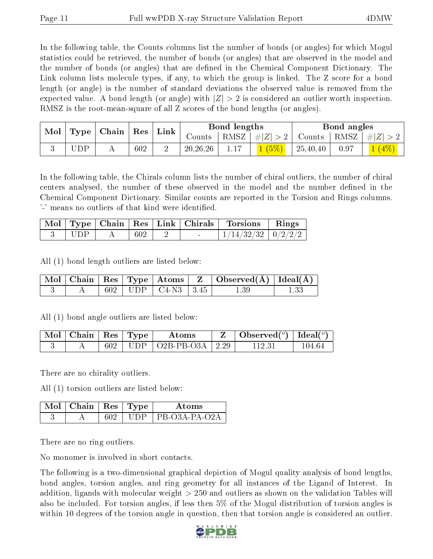In the following table, the Counts columns list the number of bonds (or angles) for which Mogul statistics could be retrieved, the number of bonds (or angles) that are observed in the model and the number of bonds (or angles) that are dened in the Chemical Component Dictionary. The Link column lists molecule types, if any, to which the group is linked. The Z score for a bond length (or angle) is the number of standard deviations the observed value is removed from the expected value. A bond length (or angle) with  $|Z| > 2$  is considered an outlier worth inspection. RMSZ is the root-mean-square of all Z scores of the bond lengths (or angles).

| Mol | Type | $\mid$ Chain $\mid$ | $\operatorname{Res}$ | Link |            | Bond lengths      |            |          | Bond angles |                 |
|-----|------|---------------------|----------------------|------|------------|-------------------|------------|----------|-------------|-----------------|
|     |      |                     |                      |      | Counts     | RMSZ <sub>1</sub> | Z <br>$\#$ | Counts   | RMSZ        | $\pm  Z $       |
|     | JDP  | <b>A</b> A          | 602                  |      | 20, 26, 26 |                   | (5%)       | 25,40,40 |             | $\frac{4\%}{ }$ |

In the following table, the Chirals column lists the number of chiral outliers, the number of chiral centers analysed, the number of these observed in the model and the number defined in the Chemical Component Dictionary. Similar counts are reported in the Torsion and Rings columns. '-' means no outliers of that kind were identified.

|            |     |  | Mol   Type   Chain   Res   Link   Chirals   Torsions   Rings |  |
|------------|-----|--|--------------------------------------------------------------|--|
| $\Box$ UDP | 602 |  | $1/14/32/32$   $0/2/2/2$                                     |  |

All (1) bond length outliers are listed below:

|  |  |                            | $\vert$ Mol $\vert$ Chain $\vert$ Res $\vert$ Type $\vert$ Atoms $\vert$ Z $\vert$ Observed(A) $\vert$ Ideal(A) |  |
|--|--|----------------------------|-----------------------------------------------------------------------------------------------------------------|--|
|  |  | $602$   UDP   C4-N3   3.45 | $1.39\,$                                                                                                        |  |

All (1) bond angle outliers are listed below:

| $\pm$ Mol $\pm$ Chain $\pm$ Res $\pm$ Type $^+$ |             | Atoms                    | Observed( $^o$ )   Ideal( $^o$ ) |        |
|-------------------------------------------------|-------------|--------------------------|----------------------------------|--------|
|                                                 | $602$   UDP | $\cup$ 02B-PB-O3A   2.29 |                                  | 104 64 |

There are no chirality outliers.

All (1) torsion outliers are listed below:

| $\sqrt{\text{M}}$ ol   Chain   Res   Type |         | Atoms           |
|-------------------------------------------|---------|-----------------|
|                                           | - 111 D | 1 PR-03A-PA-02A |

There are no ring outliers.

No monomer is involved in short contacts.

The following is a two-dimensional graphical depiction of Mogul quality analysis of bond lengths, bond angles, torsion angles, and ring geometry for all instances of the Ligand of Interest. In addition, ligands with molecular weight > 250 and outliers as shown on the validation Tables will also be included. For torsion angles, if less then 5% of the Mogul distribution of torsion angles is within 10 degrees of the torsion angle in question, then that torsion angle is considered an outlier.

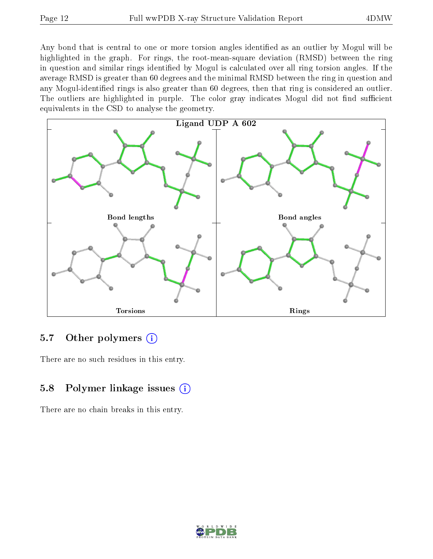Any bond that is central to one or more torsion angles identified as an outlier by Mogul will be highlighted in the graph. For rings, the root-mean-square deviation (RMSD) between the ring in question and similar rings identified by Mogul is calculated over all ring torsion angles. If the average RMSD is greater than 60 degrees and the minimal RMSD between the ring in question and any Mogul-identified rings is also greater than 60 degrees, then that ring is considered an outlier. The outliers are highlighted in purple. The color gray indicates Mogul did not find sufficient equivalents in the CSD to analyse the geometry.



#### 5.7 [O](https://www.wwpdb.org/validation/2017/XrayValidationReportHelp#nonstandard_residues_and_ligands)ther polymers  $(i)$

There are no such residues in this entry.

#### 5.8 Polymer linkage issues  $(i)$

There are no chain breaks in this entry.

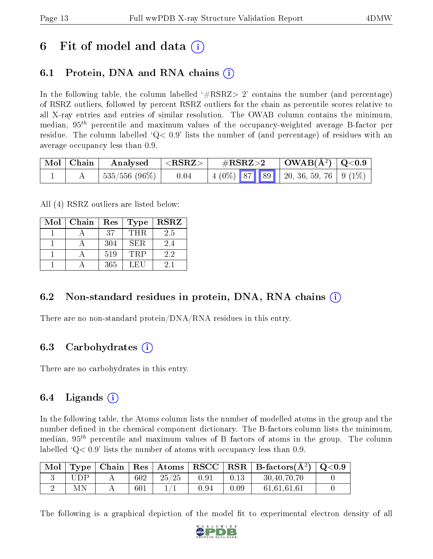### 6 Fit of model and data  $\left( \cdot \right)$

### 6.1 Protein, DNA and RNA chains (i)

In the following table, the column labelled  $#RSRZ>2'$  contains the number (and percentage) of RSRZ outliers, followed by percent RSRZ outliers for the chain as percentile scores relative to all X-ray entries and entries of similar resolution. The OWAB column contains the minimum, median,  $95<sup>th</sup>$  percentile and maximum values of the occupancy-weighted average B-factor per residue. The column labelled  $Q < 0.9$  lists the number of (and percentage) of residues with an average occupancy less than 0.9.

| $\vert$ Mol $\vert$ Chain $\vert$ | Analysed          | $  <$ RSRZ $>$ | $\rm \#RSRZ{>}2$ |  | $\mid$ OWAB(Å <sup>2</sup> ) $\mid$ Q<0.9 $\mid$ |  |  |
|-----------------------------------|-------------------|----------------|------------------|--|--------------------------------------------------|--|--|
|                                   | $ 535/556(96\%) $ | 0.04           |                  |  |                                                  |  |  |

All (4) RSRZ outliers are listed below:

| Mol | Chain | Res | <b>Type</b> | <b>RSRZ</b> |
|-----|-------|-----|-------------|-------------|
|     |       | 37  | THR.        | 2.5         |
|     |       | 304 | SER.        | 2.4         |
|     |       | 519 | <b>TRP</b>  | 2.2         |
|     |       | 365 | LEU         | 2.1         |

#### 6.2 Non-standard residues in protein, DNA, RNA chains  $(i)$

There are no non-standard protein/DNA/RNA residues in this entry.

#### 6.3 Carbohydrates (i)

There are no carbohydrates in this entry.

#### 6.4 Ligands  $(i)$

In the following table, the Atoms column lists the number of modelled atoms in the group and the number defined in the chemical component dictionary. The B-factors column lists the minimum, median,  $95<sup>th</sup>$  percentile and maximum values of B factors of atoms in the group. The column labelled  $Q< 0.9$  lists the number of atoms with occupancy less than 0.9.

| Mol |     | Type   Chain |     |       |          |      | $\mid$ Res $\mid$ Atoms $\mid$ RSCC $\mid$ RSR $\mid$ B-factors( $A^2$ ) $\mid$ Q<0.9 |  |
|-----|-----|--------------|-----|-------|----------|------|---------------------------------------------------------------------------------------|--|
|     | HDP |              | 602 | 25/25 | 0.91     | 0.13 | 30,40,70,70                                                                           |  |
|     | МN  |              | 601 |       | $0.94\,$ | 0.09 | 61,61,61,61                                                                           |  |

The following is a graphical depiction of the model fit to experimental electron density of all